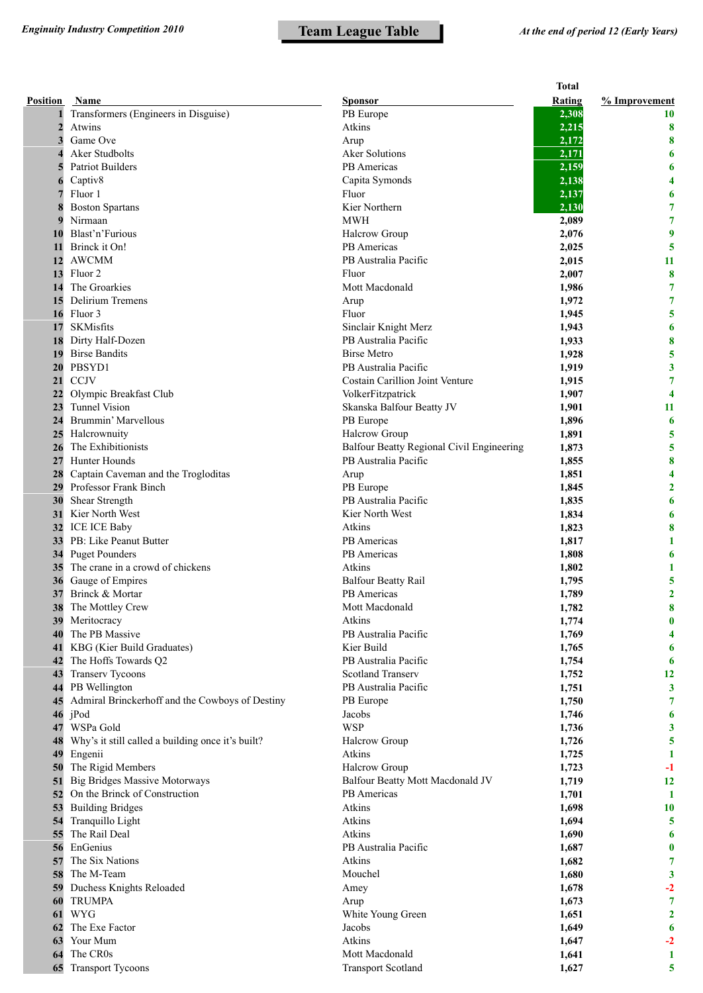|                |                                                   |                                           | <b>Total</b> |                         |
|----------------|---------------------------------------------------|-------------------------------------------|--------------|-------------------------|
| Position       | Name                                              | <b>Sponsor</b>                            | Rating       | % Improvement           |
| 1              | Transformers (Engineers in Disguise)              | PB Europe                                 | 2,308        | <b>10</b>               |
| $\overline{2}$ | Atwins                                            | Atkins                                    | 2,215        | 8                       |
| 3              | Game Ove                                          | Arup                                      | 2,172        | 8                       |
| $\Delta$       | Aker Studbolts                                    | <b>Aker Solutions</b>                     | 2,171        | 6                       |
|                | <b>Patriot Builders</b>                           | <b>PB</b> Americas                        | 2,159        | 6                       |
| 6              | Captiv8                                           | Capita Symonds                            | 2,138        | 4                       |
|                | Fluor 1                                           | Fluor                                     | 2,137        | 6                       |
| 8              | <b>Boston Spartans</b>                            | Kier Northern                             | 2,130        | 7                       |
| 9              | Nirmaan                                           | <b>MWH</b>                                | 2,089        | $\overline{7}$          |
| 10             | Blast'n'Furious                                   | Halcrow Group                             | 2,076        | 9                       |
| 11             | Brinck it On!                                     | PB Americas                               | 2,025        | 5                       |
| 12             | <b>AWCMM</b>                                      | PB Australia Pacific                      | 2,015        | 11                      |
| 13             | Fluor <sub>2</sub>                                | Fluor                                     | 2,007        | 8                       |
| 14             | The Groarkies                                     | Mott Macdonald                            | 1,986        | 7                       |
| 15             | Delirium Tremens                                  | Arup                                      | 1,972        | 7                       |
| 16             | Fluor 3                                           | Fluor                                     | 1,945        | 5                       |
| 17             | SKMisfits                                         | Sinclair Knight Merz                      | 1,943        | 6                       |
| 18             | Dirty Half-Dozen                                  | PB Australia Pacific                      | 1,933        | 8                       |
| 19             | <b>Birse Bandits</b>                              | <b>Birse Metro</b>                        | 1,928        | 5                       |
| 20             | PBSYD1                                            | PB Australia Pacific                      | 1,919        | 3                       |
| 21             | <b>CCJV</b>                                       | Costain Carillion Joint Venture           | 1,915        | 7                       |
| 22             | Olympic Breakfast Club                            | VolkerFitzpatrick                         | 1,907        | $\overline{\mathbf{4}}$ |
| 23             | <b>Tunnel Vision</b>                              | Skanska Balfour Beatty JV                 | 1,901        | 11                      |
| 24             | Brummin' Marvellous                               | PB Europe                                 | 1,896        | 6                       |
|                | 25 Halcrownuity                                   | Halcrow Group                             | 1,891        | 5                       |
| 26             | The Exhibitionists                                | Balfour Beatty Regional Civil Engineering | 1,873        | 5                       |
| 27             | Hunter Hounds                                     | PB Australia Pacific                      | 1,855        | 8                       |
| 28             | Captain Caveman and the Trogloditas               | Arup                                      | 1,851        | 4                       |
| 29             | Professor Frank Binch                             | PB Europe                                 | 1,845        | $\overline{2}$          |
|                | Shear Strength                                    | PB Australia Pacific                      | 1,835        | 6                       |
| 30             | Kier North West                                   | Kier North West                           |              |                         |
| 31             |                                                   | Atkins                                    | 1,834        | 6                       |
|                | 32 ICE ICE Baby                                   |                                           | 1,823        | 8                       |
|                | 33 PB: Like Peanut Butter<br>34 Puget Pounders    | PB Americas<br>PB Americas                | 1,817        | 1                       |
|                | The crane in a crowd of chickens                  | Atkins                                    | 1,808        | 6                       |
| 35             |                                                   |                                           | 1,802        | 1                       |
| 36             | Gauge of Empires                                  | <b>Balfour Beatty Rail</b>                | 1,795        | 5                       |
| 37             | Brinck & Mortar                                   | PB Americas                               | 1,789        | $\overline{2}$          |
|                | <b>38</b> The Mottley Crew                        | Mott Macdonald                            | 1,782        | 8                       |
| 39             | Meritocracy                                       | Atkins                                    | 1,774        | $\bf{0}$                |
| 40             | The PB Massive                                    | PB Australia Pacific                      | 1,769        | 4                       |
| 41             | KBG (Kier Build Graduates)                        | Kier Build                                | 1,765        | 6                       |
| 42             | The Hoffs Towards Q2                              | PB Australia Pacific                      | 1,754        | $\boldsymbol{6}$        |
| 43             | Transerv Tycoons                                  | <b>Scotland Transerv</b>                  | 1,752        | 12                      |
| 44             | PB Wellington                                     | PB Australia Pacific                      | 1,751        | $\mathbf{3}$            |
| 45             | Admiral Brinckerhoff and the Cowboys of Destiny   | PB Europe                                 | 1,750        | 7                       |
| 46             | jPod                                              | Jacobs                                    | 1,746        | 6                       |
| 47             | WSPa Gold                                         | <b>WSP</b>                                | 1,736        | 3                       |
| 48             | Why's it still called a building once it's built? | <b>Halcrow Group</b>                      | 1,726        | 5                       |
| 49             | Engenii                                           | Atkins                                    | 1,725        | $\mathbf{1}$            |
| 50             | The Rigid Members                                 | Halcrow Group                             | 1,723        | $-1$                    |
| 51             | <b>Big Bridges Massive Motorways</b>              | Balfour Beatty Mott Macdonald JV          | 1,719        | 12                      |
|                | 52 On the Brinck of Construction                  | PB Americas                               | 1,701        | $\mathbf{1}$            |
|                | 53 Building Bridges                               | Atkins                                    | 1,698        | 10                      |
| 54             | Tranquillo Light                                  | Atkins                                    | 1,694        | 5                       |
| 55             | The Rail Deal                                     | Atkins                                    | 1,690        | 6                       |
| 56             | EnGenius                                          | PB Australia Pacific                      | 1,687        | $\bf{0}$                |
| 57             | The Six Nations                                   | Atkins                                    | 1,682        | 7                       |
| 58             | The M-Team                                        | Mouchel                                   | 1,680        | $\mathbf{3}$            |
| 59             | Duchess Knights Reloaded                          | Amey                                      | 1,678        | $-2$                    |
| 60             | <b>TRUMPA</b>                                     | Arup                                      | 1,673        | $\overline{7}$          |
| 61             | <b>WYG</b>                                        | White Young Green                         | 1,651        | $\mathbf{2}$            |
| 62             | The Exe Factor                                    | Jacobs                                    | 1,649        | 6                       |
| 63             | Your Mum                                          | Atkins                                    | 1,647        | $-2$                    |
| 64             | The CR0s                                          | Mott Macdonald                            | 1,641        | 1                       |
| 65             | <b>Transport Tycoons</b>                          | <b>Transport Scotland</b>                 | 1,627        | 5                       |